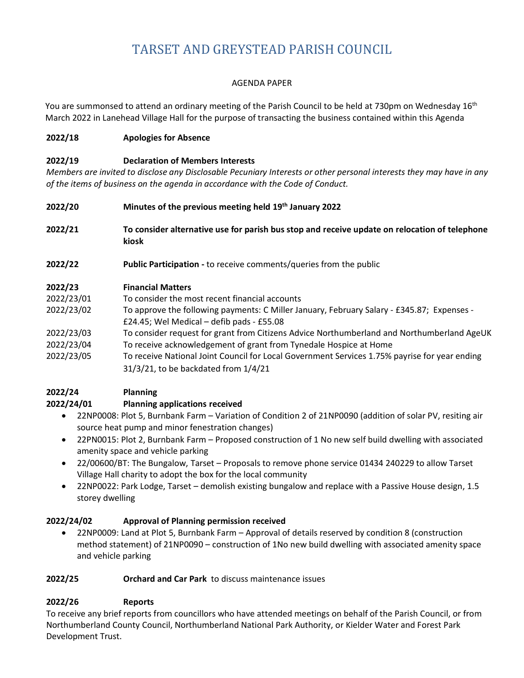# TARSET AND GREYSTEAD PARISH COUNCIL

## AGENDA PAPER

You are summonsed to attend an ordinary meeting of the Parish Council to be held at 730pm on Wednesday 16<sup>th</sup> March 2022 in Lanehead Village Hall for the purpose of transacting the business contained within this Agenda

## **2022/18 Apologies for Absence**

## **2022/19 Declaration of Members Interests**

*Members are invited to disclose any Disclosable Pecuniary Interests or other personal interests they may have in any of the items of business on the agenda in accordance with the Code of Conduct.*

- **2022/20 Minutes of the previous meeting held 19th January 2022**
- **2022/21 To consider alternative use for parish bus stop and receive update on relocation of telephone kiosk**
- **2022/22 Public Participation -** to receive comments/queries from the public

## **2022/23 Financial Matters**

| 2022/23/01 | To consider the most recent financial accounts                                                |
|------------|-----------------------------------------------------------------------------------------------|
| 2022/23/02 | To approve the following payments: C Miller January, February Salary - £345.87; Expenses -    |
|            | £24.45; Wel Medical $-$ defib pads - £55.08                                                   |
| 2022/23/03 | To consider request for grant from Citizens Advice Northumberland and Northumberland AgeUK    |
| 2022/23/04 | To receive acknowledgement of grant from Tynedale Hospice at Home                             |
| 2022/23/05 | To receive National Joint Council for Local Government Services 1.75% payrise for year ending |
|            | 31/3/21, to be backdated from 1/4/21                                                          |

#### **2022/24 Planning 2022/24/01 Planning applications received**

- 22NP0008: Plot 5, Burnbank Farm Variation of Condition 2 of 21NP0090 (addition of solar PV, resiting air source heat pump and minor fenestration changes)
- 22PN0015: Plot 2, Burnbank Farm Proposed construction of 1 No new self build dwelling with associated amenity space and vehicle parking
- 22/00600/BT: The Bungalow, Tarset Proposals to remove phone service 01434 240229 to allow Tarset Village Hall charity to adopt the box for the local community
- 22NP0022: Park Lodge, Tarset demolish existing bungalow and replace with a Passive House design, 1.5 storey dwelling

# **2022/24/02 Approval of Planning permission received**

• 22NP0009: Land at Plot 5, Burnbank Farm – Approval of details reserved by condition 8 (construction method statement) of 21NP0090 – construction of 1No new build dwelling with associated amenity space and vehicle parking

#### **2022/25 Orchard and Car Park** to discuss maintenance issues

# **2022/26 Reports**

To receive any brief reports from councillors who have attended meetings on behalf of the Parish Council, or from Northumberland County Council, Northumberland National Park Authority, or Kielder Water and Forest Park Development Trust.